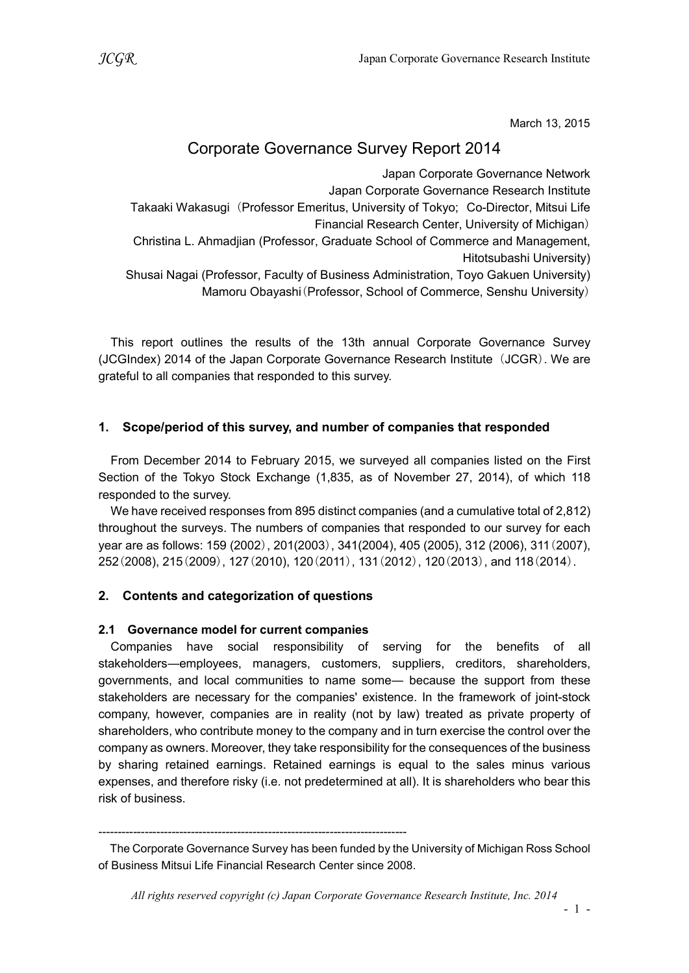March 13, 2015

# Corporate Governance Survey Report 2014

Japan Corporate Governance Network Japan Corporate Governance Research Institute Takaaki Wakasugi (Professor Emeritus, University of Tokyo; Co-Director, Mitsui Life Financial Research Center, University of Michigan) Christina L. Ahmadjian (Professor, Graduate School of Commerce and Management, Hitotsubashi University) Shusai Nagai (Professor, Faculty of Business Administration, Toyo Gakuen University)

Mamoru Obayashi(Professor, School of Commerce, Senshu University)

This report outlines the results of the 13th annual Corporate Governance Survey (JCGIndex) 2014 of the Japan Corporate Governance Research Institute (JCGR). We are grateful to all companies that responded to this survey.

# 1. Scope/period of this survey, and number of companies that responded

From December 2014 to February 2015, we surveyed all companies listed on the First Section of the Tokyo Stock Exchange (1,835, as of November 27, 2014), of which 118 responded to the survey.

We have received responses from 895 distinct companies (and a cumulative total of 2,812) throughout the surveys. The numbers of companies that responded to our survey for each year are as follows: 159 (2002), 201(2003), 341(2004), 405 (2005), 312 (2006), 311(2007), 252(2008), 215(2009), 127(2010), 120(2011), 131(2012), 120(2013), and 118(2014).

# 2. Contents and categorization of questions

# 2.1 Governance model for current companies

Companies have social responsibility of serving for the benefits of all stakeholders―employees, managers, customers, suppliers, creditors, shareholders, governments, and local communities to name some― because the support from these stakeholders are necessary for the companies' existence. In the framework of joint-stock company, however, companies are in reality (not by law) treated as private property of shareholders, who contribute money to the company and in turn exercise the control over the company as owners. Moreover, they take responsibility for the consequences of the business by sharing retained earnings. Retained earnings is equal to the sales minus various expenses, and therefore risky (i.e. not predetermined at all). It is shareholders who bear this risk of business.

<sup>--------------------------------------------------------------------------------</sup> 

The Corporate Governance Survey has been funded by the University of Michigan Ross School of Business Mitsui Life Financial Research Center since 2008.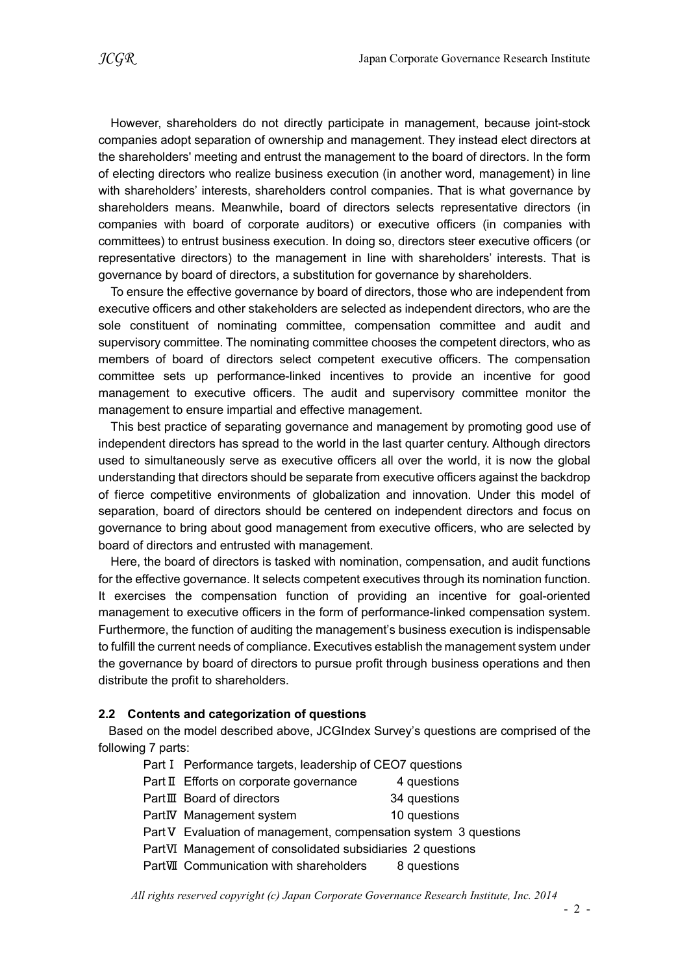However, shareholders do not directly participate in management, because joint-stock companies adopt separation of ownership and management. They instead elect directors at the shareholders' meeting and entrust the management to the board of directors. In the form of electing directors who realize business execution (in another word, management) in line with shareholders' interests, shareholders control companies. That is what governance by shareholders means. Meanwhile, board of directors selects representative directors (in companies with board of corporate auditors) or executive officers (in companies with committees) to entrust business execution. In doing so, directors steer executive officers (or representative directors) to the management in line with shareholders' interests. That is governance by board of directors, a substitution for governance by shareholders.

To ensure the effective governance by board of directors, those who are independent from executive officers and other stakeholders are selected as independent directors, who are the sole constituent of nominating committee, compensation committee and audit and supervisory committee. The nominating committee chooses the competent directors, who as members of board of directors select competent executive officers. The compensation committee sets up performance-linked incentives to provide an incentive for good management to executive officers. The audit and supervisory committee monitor the management to ensure impartial and effective management.

This best practice of separating governance and management by promoting good use of independent directors has spread to the world in the last quarter century. Although directors used to simultaneously serve as executive officers all over the world, it is now the global understanding that directors should be separate from executive officers against the backdrop of fierce competitive environments of globalization and innovation. Under this model of separation, board of directors should be centered on independent directors and focus on governance to bring about good management from executive officers, who are selected by board of directors and entrusted with management.

Here, the board of directors is tasked with nomination, compensation, and audit functions for the effective governance. It selects competent executives through its nomination function. It exercises the compensation function of providing an incentive for goal-oriented management to executive officers in the form of performance-linked compensation system. Furthermore, the function of auditing the management's business execution is indispensable to fulfill the current needs of compliance. Executives establish the management system under the governance by board of directors to pursue profit through business operations and then distribute the profit to shareholders.

#### 2.2 Contents and categorization of questions

Based on the model described above, JCGIndex Survey's questions are comprised of the following 7 parts:

- Part I Performance targets, leadership of CEO7 questions
- Part Ⅱ Efforts on corporate governance 4 questions
- PartⅢ Board of directors 34 questions
- PartIV Management system 10 questions
- Part V Evaluation of management, compensation system 3 questions
- PartⅥ Management of consolidated subsidiaries 2 questions
- PartVII Communication with shareholders 8 questions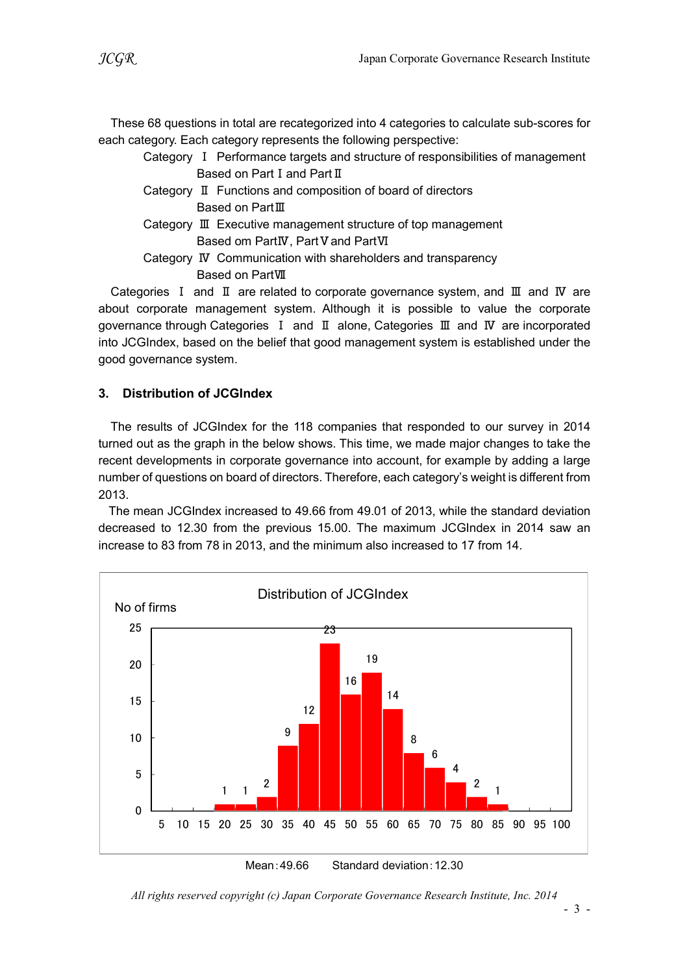These 68 questions in total are recategorized into 4 categories to calculate sub-scores for each category. Each category represents the following perspective:

- Category Ⅰ Performance targets and structure of responsibilities of management Based on Part I and Part II
- Category Ⅱ Functions and composition of board of directors Based on PartⅢ
- Category Ⅲ Executive management structure of top management Based om PartIV, Part V and PartVI
- Category Ⅳ Communication with shareholders and transparency Based on PartⅦ

Categories Ⅰ and Ⅱ are related to corporate governance system, and Ⅲ and Ⅳ are about corporate management system. Although it is possible to value the corporate governance through Categories Ⅰ and Ⅱ alone, Categories Ⅲ and Ⅳ are incorporated into JCGIndex, based on the belief that good management system is established under the good governance system.

# 3. Distribution of JCGIndex

The results of JCGIndex for the 118 companies that responded to our survey in 2014 turned out as the graph in the below shows. This time, we made major changes to take the recent developments in corporate governance into account, for example by adding a large number of questions on board of directors. Therefore, each category's weight is different from 2013.

The mean JCGIndex increased to 49.66 from 49.01 of 2013, while the standard deviation decreased to 12.30 from the previous 15.00. The maximum JCGIndex in 2014 saw an increase to 83 from 78 in 2013, and the minimum also increased to 17 from 14.



Mean:49.66 Standard deviation:12.30

All rights reserved copyright (c) Japan Corporate Governance Research Institute, Inc. 2014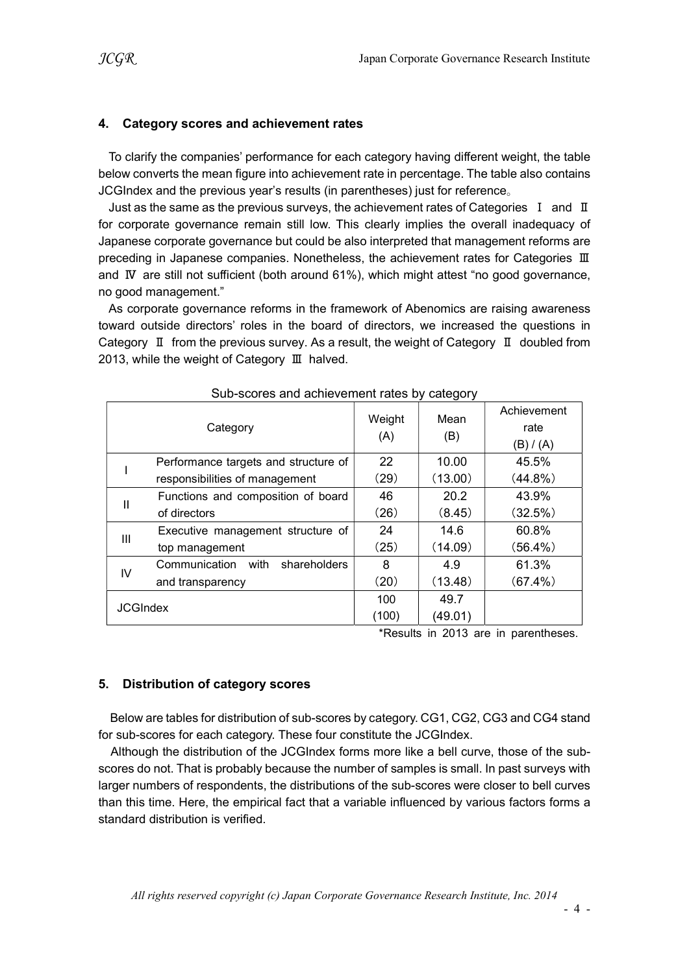#### 4. Category scores and achievement rates

To clarify the companies' performance for each category having different weight, the table below converts the mean figure into achievement rate in percentage. The table also contains JCGIndex and the previous year's results (in parentheses) just for reference。

Just as the same as the previous surveys, the achievement rates of Categories  $I$  and  $II$ for corporate governance remain still low. This clearly implies the overall inadequacy of Japanese corporate governance but could be also interpreted that management reforms are preceding in Japanese companies. Nonetheless, the achievement rates for Categories Ⅲ and Ⅳ are still not sufficient (both around 61%), which might attest "no good governance, no good management."

As corporate governance reforms in the framework of Abenomics are raising awareness toward outside directors' roles in the board of directors, we increased the questions in Category Ⅱ from the previous survey. As a result, the weight of Category Ⅱ doubled from 2013, while the weight of Category Ⅲ halved.

| <u>Oub-Scores and achievement rates by category</u> |                                       |               |             |                                  |  |
|-----------------------------------------------------|---------------------------------------|---------------|-------------|----------------------------------|--|
|                                                     | Category                              | Weight<br>(A) | Mean<br>(B) | Achievement<br>rate<br>(B) / (A) |  |
|                                                     | Performance targets and structure of  | 22            | 10.00       | 45.5%                            |  |
|                                                     | responsibilities of management        | (29)          | (13.00)     | $(44.8\%)$                       |  |
|                                                     | Functions and composition of board    | 46            | 20.2        | 43.9%                            |  |
| Ш                                                   | of directors                          | (26)          | (8.45)      | (32.5%)                          |  |
| Ш                                                   | Executive management structure of     | 24            | 14.6        | 60.8%                            |  |
|                                                     | top management                        | (25)          | (14.09)     | $(56.4\%)$                       |  |
| IV                                                  | Communication<br>with<br>shareholders | 8             | 4.9         | 61.3%                            |  |
|                                                     | and transparency                      | (20)          | (13.48)     | $(67.4\%)$                       |  |
| <b>JCGIndex</b>                                     |                                       | 100           | 49.7        |                                  |  |
|                                                     |                                       | (100)         | (49.01)     |                                  |  |

#### Sub-scores and achievement rates by category

\*Results in 2013 are in parentheses.

#### 5. Distribution of category scores

Below are tables for distribution of sub-scores by category. CG1, CG2, CG3 and CG4 stand for sub-scores for each category. These four constitute the JCGIndex.

Although the distribution of the JCGIndex forms more like a bell curve, those of the subscores do not. That is probably because the number of samples is small. In past surveys with larger numbers of respondents, the distributions of the sub-scores were closer to bell curves than this time. Here, the empirical fact that a variable influenced by various factors forms a standard distribution is verified.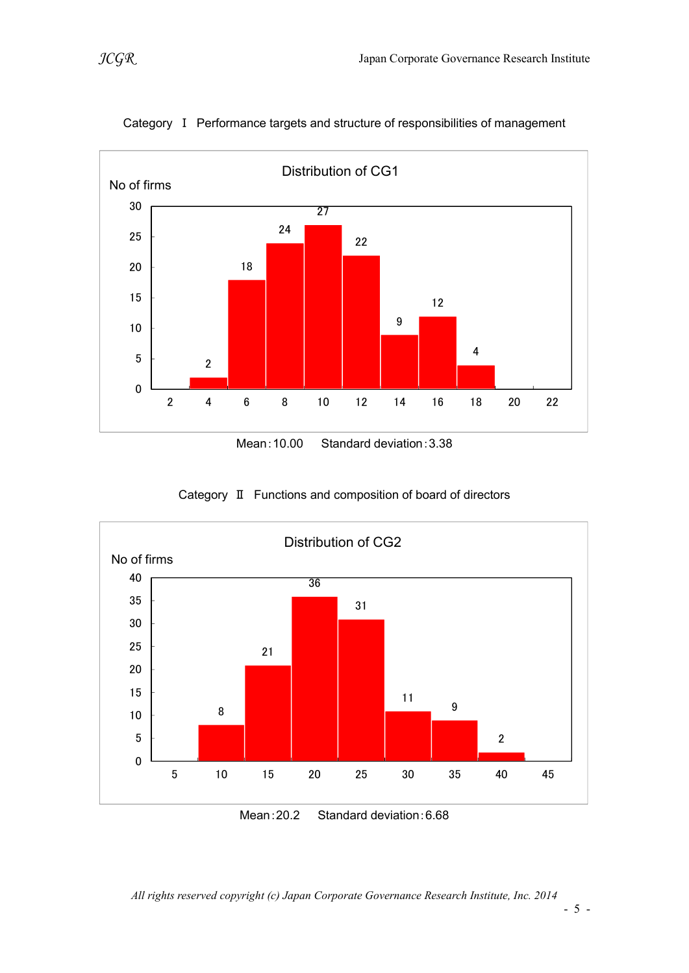

Category Ⅰ Performance targets and structure of responsibilities of management

Category Ⅱ Functions and composition of board of directors



Mean:20.2 Standard deviation:6.68

All rights reserved copyright (c) Japan Corporate Governance Research Institute, Inc. 2014

- 5 -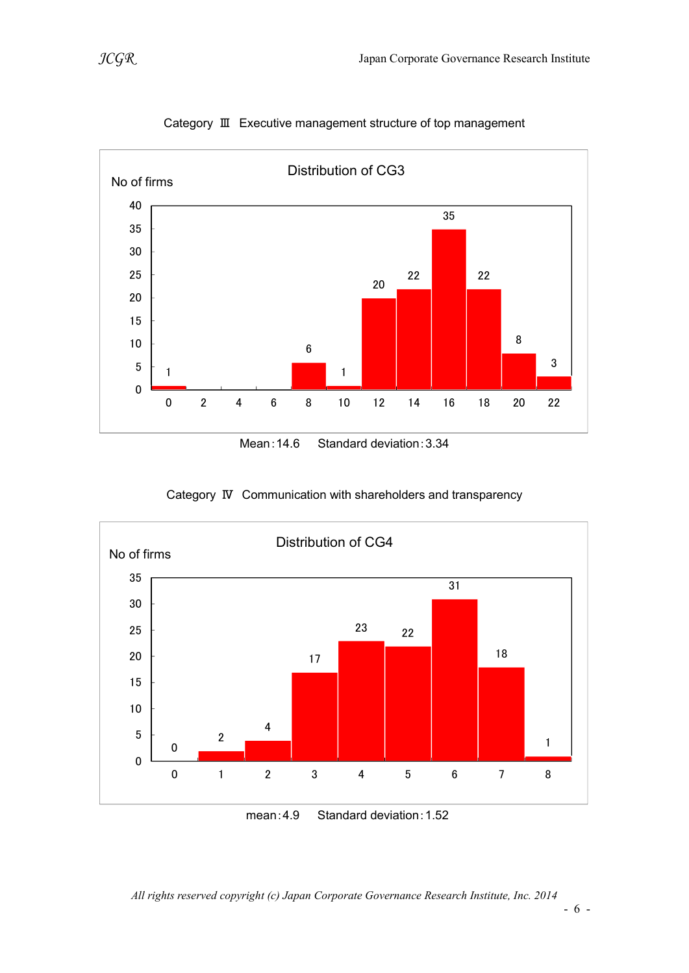



Category Ⅲ Executive management structure of top management

Mean:14.6 Standard deviation:3.34





mean:4.9 Standard deviation:1.52

All rights reserved copyright (c) Japan Corporate Governance Research Institute, Inc. 2014

- 6 -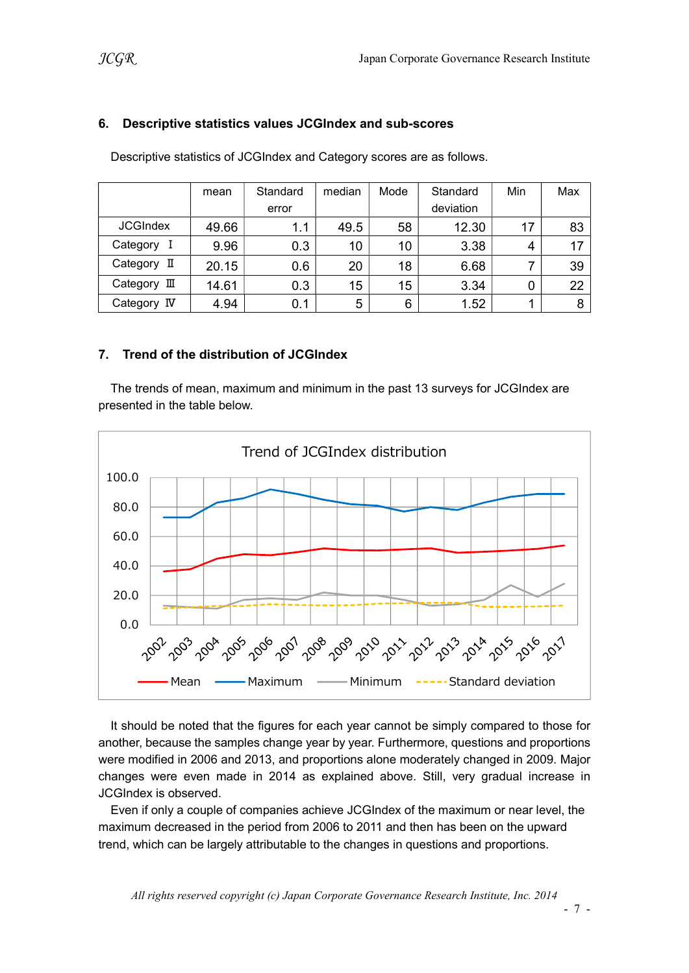### 6. Descriptive statistics values JCGIndex and sub-scores

|                 | mean  | Standard | median | Mode | Standard  | Min | Max |
|-----------------|-------|----------|--------|------|-----------|-----|-----|
|                 |       | error    |        |      | deviation |     |     |
| <b>JCGIndex</b> | 49.66 | 1.1      | 49.5   | 58   | 12.30     | 17  | 83  |
| Category        | 9.96  | 0.3      | 10     | 10   | 3.38      | 4   | 17  |
| Category II     | 20.15 | 0.6      | 20     | 18   | 6.68      |     | 39  |
| Category III    | 14.61 | 0.3      | 15     | 15   | 3.34      | 0   | 22  |
| Category IV     | 4.94  | 0.1      | 5      | 6    | 1.52      |     | 8   |

Descriptive statistics of JCGIndex and Category scores are as follows.

# 7. Trend of the distribution of JCGIndex

The trends of mean, maximum and minimum in the past 13 surveys for JCGIndex are presented in the table below.



It should be noted that the figures for each year cannot be simply compared to those for another, because the samples change year by year. Furthermore, questions and proportions were modified in 2006 and 2013, and proportions alone moderately changed in 2009. Major changes were even made in 2014 as explained above. Still, very gradual increase in JCGIndex is observed.

Even if only a couple of companies achieve JCGIndex of the maximum or near level, the maximum decreased in the period from 2006 to 2011 and then has been on the upward trend, which can be largely attributable to the changes in questions and proportions.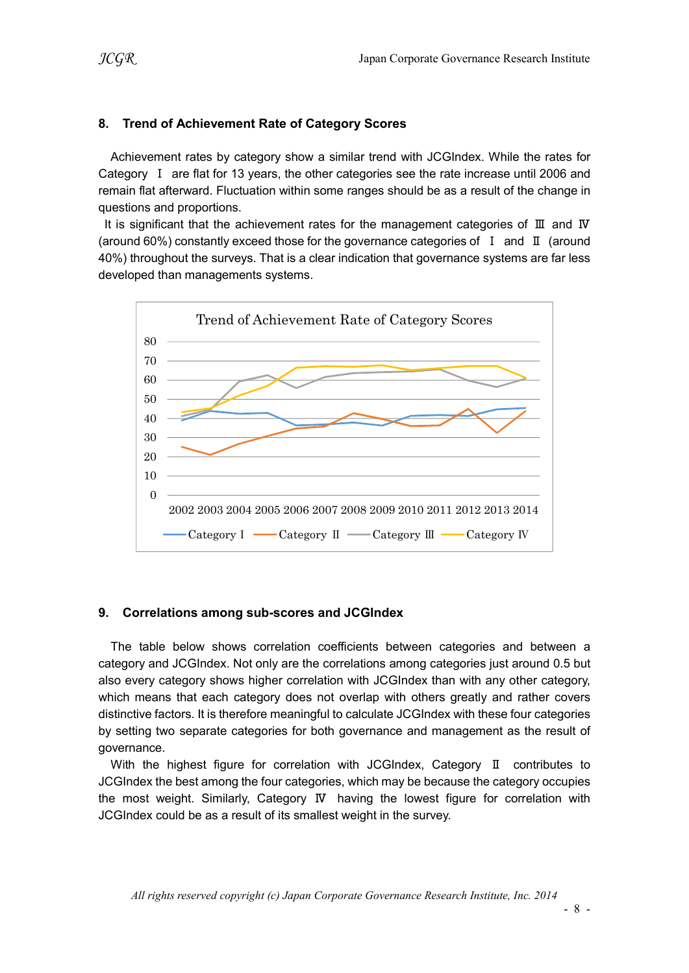### 8. Trend of Achievement Rate of Category Scores

Achievement rates by category show a similar trend with JCGIndex. While the rates for Category Ⅰ are flat for 13 years, the other categories see the rate increase until 2006 and remain flat afterward. Fluctuation within some ranges should be as a result of the change in questions and proportions.

It is significant that the achievement rates for the management categories of Ⅲ and Ⅳ (around 60%) constantly exceed those for the governance categories of Ⅰ and Ⅱ (around 40%) throughout the surveys. That is a clear indication that governance systems are far less developed than managements systems.



#### 9. Correlations among sub-scores and JCGIndex

The table below shows correlation coefficients between categories and between a category and JCGIndex. Not only are the correlations among categories just around 0.5 but also every category shows higher correlation with JCGIndex than with any other category, which means that each category does not overlap with others greatly and rather covers distinctive factors. It is therefore meaningful to calculate JCGIndex with these four categories by setting two separate categories for both governance and management as the result of governance.

With the highest figure for correlation with JCGIndex, Category II contributes to JCGIndex the best among the four categories, which may be because the category occupies the most weight. Similarly, Category Ⅳ having the lowest figure for correlation with JCGIndex could be as a result of its smallest weight in the survey.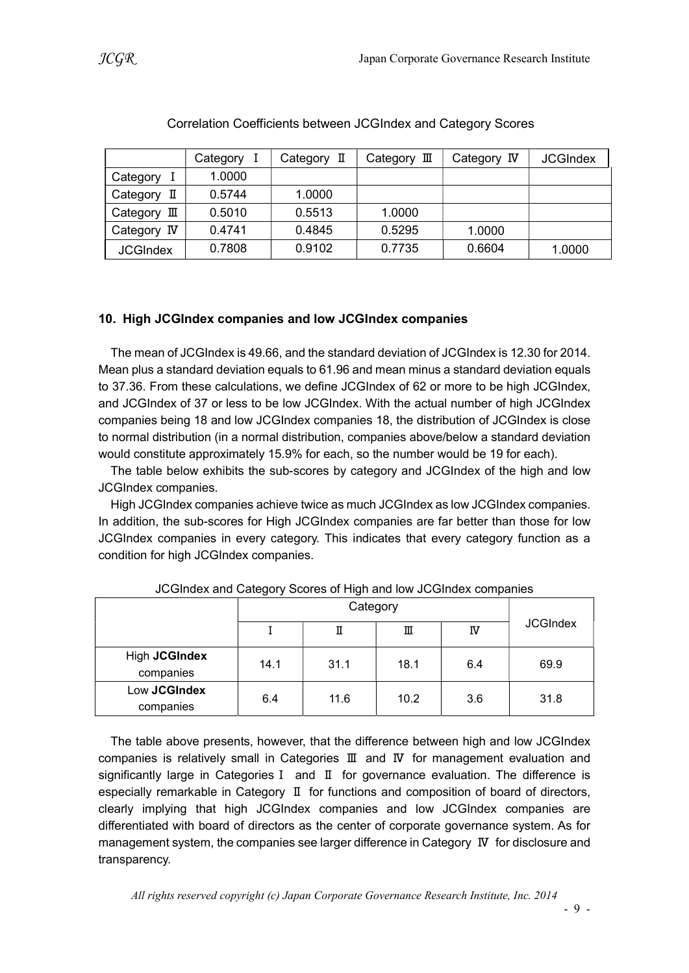|                 | Category | Category II | Category $\mathbb I$ | Category IV | <b>JCGIndex</b> |
|-----------------|----------|-------------|----------------------|-------------|-----------------|
| Category        | 1.0000   |             |                      |             |                 |
| Category<br>П   | 0.5744   | 1.0000      |                      |             |                 |
| Category<br>Ш   | 0.5010   | 0.5513      | 1.0000               |             |                 |
| Category IV     | 0.4741   | 0.4845      | 0.5295               | 1.0000      |                 |
| <b>JCGIndex</b> | 0.7808   | 0.9102      | 0.7735               | 0.6604      | 1.0000          |

#### Correlation Coefficients between JCGIndex and Category Scores

#### 10. High JCGIndex companies and low JCGIndex companies

The mean of JCGIndex is 49.66, and the standard deviation of JCGIndex is 12.30 for 2014. Mean plus a standard deviation equals to 61.96 and mean minus a standard deviation equals to 37.36. From these calculations, we define JCGIndex of 62 or more to be high JCGIndex, and JCGIndex of 37 or less to be low JCGIndex. With the actual number of high JCGIndex companies being 18 and low JCGIndex companies 18, the distribution of JCGIndex is close to normal distribution (in a normal distribution, companies above/below a standard deviation would constitute approximately 15.9% for each, so the number would be 19 for each).

The table below exhibits the sub-scores by category and JCGIndex of the high and low JCGIndex companies.

High JCGIndex companies achieve twice as much JCGIndex as low JCGIndex companies. In addition, the sub-scores for High JCGIndex companies are far better than those for low JCGIndex companies in every category. This indicates that every category function as a condition for high JCGIndex companies.

|                            | ັ        | ັ    |      |     |                 |
|----------------------------|----------|------|------|-----|-----------------|
|                            | Category |      |      |     |                 |
|                            |          | П    | Ш    | N   | <b>JCGIndex</b> |
| High JCGIndex<br>companies | 14.1     | 31.1 | 18.1 | 6.4 | 69.9            |
| Low JCGIndex<br>companies  | 6.4      | 11.6 | 10.2 | 3.6 | 31.8            |

| JCGIndex and Category Scores of High and low JCGIndex companies |  |  |  |
|-----------------------------------------------------------------|--|--|--|
|-----------------------------------------------------------------|--|--|--|

The table above presents, however, that the difference between high and low JCGIndex companies is relatively small in Categories Ⅲ and Ⅳ for management evaluation and significantly large in CategoriesⅠ and Ⅱ for governance evaluation. The difference is especially remarkable in Category Ⅱ for functions and composition of board of directors, clearly implying that high JCGIndex companies and low JCGIndex companies are differentiated with board of directors as the center of corporate governance system. As for management system, the companies see larger difference in Category Ⅳ for disclosure and transparency.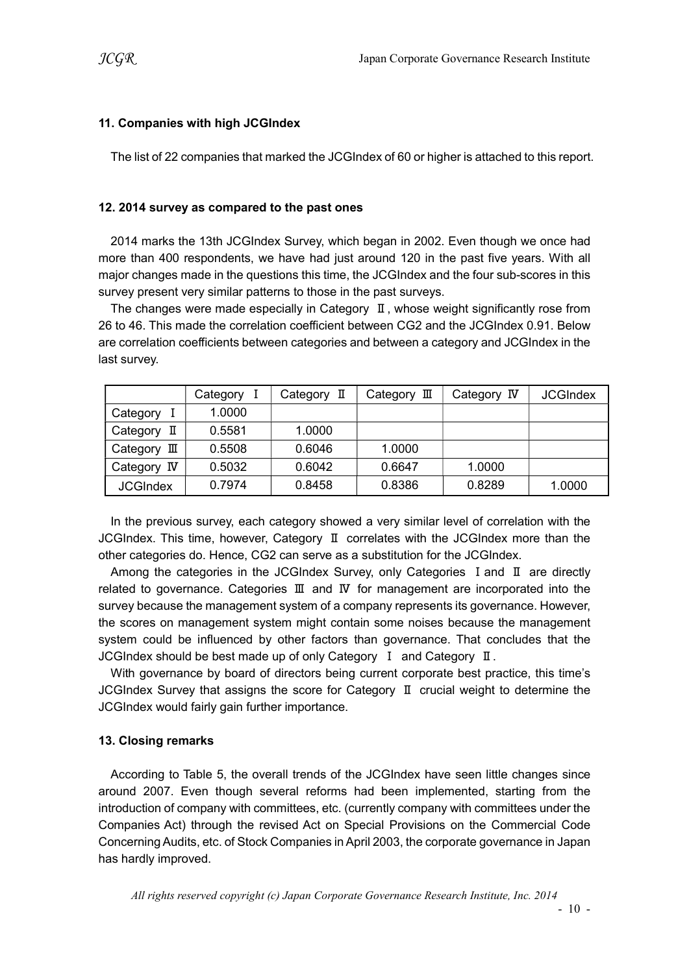# 11. Companies with high JCGIndex

The list of 22 companies that marked the JCGIndex of 60 or higher is attached to this report.

### 12. 2014 survey as compared to the past ones

2014 marks the 13th JCGIndex Survey, which began in 2002. Even though we once had more than 400 respondents, we have had just around 120 in the past five years. With all major changes made in the questions this time, the JCGIndex and the four sub-scores in this survey present very similar patterns to those in the past surveys.

The changes were made especially in Category Ⅱ, whose weight significantly rose from 26 to 46. This made the correlation coefficient between CG2 and the JCGIndex 0.91. Below are correlation coefficients between categories and between a category and JCGIndex in the last survey.

|                 | Category | Category II | Category $\mathbb I$ | Category IV | <b>JCGIndex</b> |
|-----------------|----------|-------------|----------------------|-------------|-----------------|
| Category        | 1.0000   |             |                      |             |                 |
| Category<br>П   | 0.5581   | 1.0000      |                      |             |                 |
| Category<br>Ш   | 0.5508   | 0.6046      | 1.0000               |             |                 |
| Category IV     | 0.5032   | 0.6042      | 0.6647               | 1.0000      |                 |
| <b>JCGIndex</b> | 0.7974   | 0.8458      | 0.8386               | 0.8289      | 1.0000          |

In the previous survey, each category showed a very similar level of correlation with the JCGIndex. This time, however, Category Ⅱ correlates with the JCGIndex more than the other categories do. Hence, CG2 can serve as a substitution for the JCGIndex.

Among the categories in the JCGIndex Survey, only Categories I and II are directly related to governance. Categories Ⅲ and Ⅳ for management are incorporated into the survey because the management system of a company represents its governance. However, the scores on management system might contain some noises because the management system could be influenced by other factors than governance. That concludes that the JCGIndex should be best made up of only Category Ⅰ and Category Ⅱ.

With governance by board of directors being current corporate best practice, this time's JCGIndex Survey that assigns the score for Category Ⅱ crucial weight to determine the JCGIndex would fairly gain further importance.

# 13. Closing remarks

According to Table 5, the overall trends of the JCGIndex have seen little changes since around 2007. Even though several reforms had been implemented, starting from the introduction of company with committees, etc. (currently company with committees under the Companies Act) through the revised Act on Special Provisions on the Commercial Code Concerning Audits, etc. of Stock Companies in April 2003, the corporate governance in Japan has hardly improved.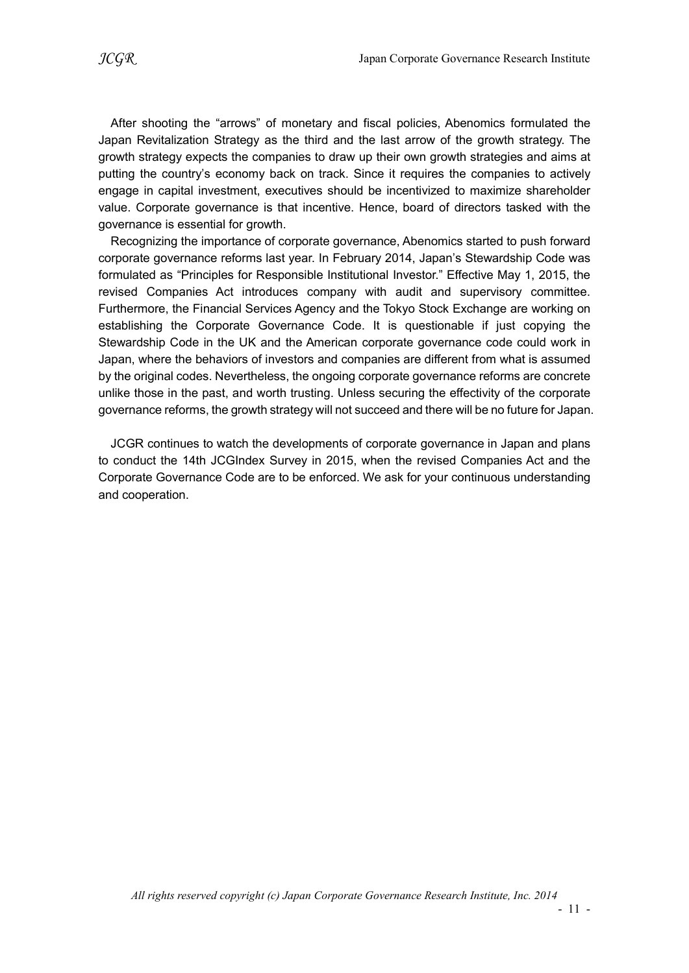After shooting the "arrows" of monetary and fiscal policies, Abenomics formulated the Japan Revitalization Strategy as the third and the last arrow of the growth strategy. The growth strategy expects the companies to draw up their own growth strategies and aims at putting the country's economy back on track. Since it requires the companies to actively engage in capital investment, executives should be incentivized to maximize shareholder value. Corporate governance is that incentive. Hence, board of directors tasked with the governance is essential for growth.

Recognizing the importance of corporate governance, Abenomics started to push forward corporate governance reforms last year. In February 2014, Japan's Stewardship Code was formulated as "Principles for Responsible Institutional Investor." Effective May 1, 2015, the revised Companies Act introduces company with audit and supervisory committee. Furthermore, the Financial Services Agency and the Tokyo Stock Exchange are working on establishing the Corporate Governance Code. It is questionable if just copying the Stewardship Code in the UK and the American corporate governance code could work in Japan, where the behaviors of investors and companies are different from what is assumed by the original codes. Nevertheless, the ongoing corporate governance reforms are concrete unlike those in the past, and worth trusting. Unless securing the effectivity of the corporate governance reforms, the growth strategy will not succeed and there will be no future for Japan.

JCGR continues to watch the developments of corporate governance in Japan and plans to conduct the 14th JCGIndex Survey in 2015, when the revised Companies Act and the Corporate Governance Code are to be enforced. We ask for your continuous understanding and cooperation.